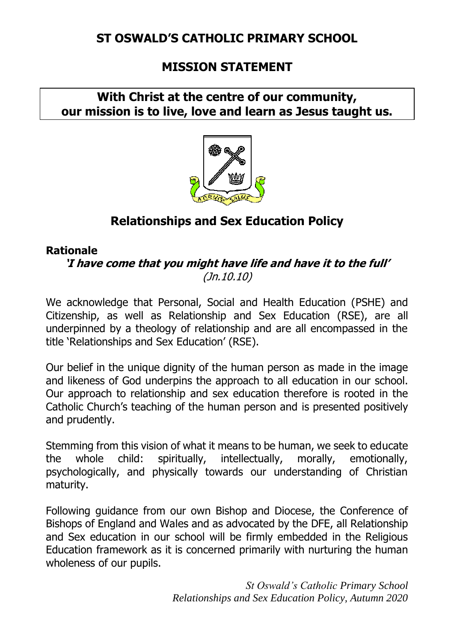# **ST OSWALD'S CATHOLIC PRIMARY SCHOOL**

## **MISSION STATEMENT**

## **With Christ at the centre of our community, our mission is to live, love and learn as Jesus taught us.**



# **Relationships and Sex Education Policy**

#### **Rationale**

**'I have come that you might have life and have it to the full'** (Jn.10.10)

We acknowledge that Personal, Social and Health Education (PSHE) and Citizenship, as well as Relationship and Sex Education (RSE), are all underpinned by a theology of relationship and are all encompassed in the title 'Relationships and Sex Education' (RSE).

Our belief in the unique dignity of the human person as made in the image and likeness of God underpins the approach to all education in our school. Our approach to relationship and sex education therefore is rooted in the Catholic Church's teaching of the human person and is presented positively and prudently.

Stemming from this vision of what it means to be human, we seek to educate the whole child: spiritually, intellectually, morally, emotionally, psychologically, and physically towards our understanding of Christian maturity.

Following guidance from our own Bishop and Diocese, the Conference of Bishops of England and Wales and as advocated by the DFE, all Relationship and Sex education in our school will be firmly embedded in the Religious Education framework as it is concerned primarily with nurturing the human wholeness of our pupils.

> *St Oswald's Catholic Primary School Relationships and Sex Education Policy, Autumn 2020*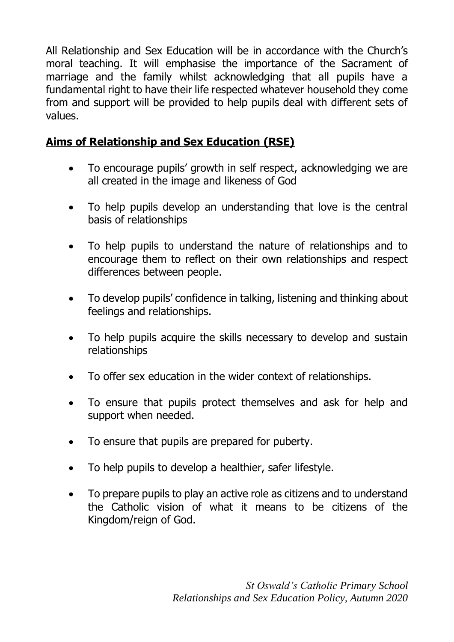All Relationship and Sex Education will be in accordance with the Church's moral teaching. It will emphasise the importance of the Sacrament of marriage and the family whilst acknowledging that all pupils have a fundamental right to have their life respected whatever household they come from and support will be provided to help pupils deal with different sets of values.

### **Aims of Relationship and Sex Education (RSE)**

- To encourage pupils' growth in self respect, acknowledging we are all created in the image and likeness of God
- To help pupils develop an understanding that love is the central basis of relationships
- To help pupils to understand the nature of relationships and to encourage them to reflect on their own relationships and respect differences between people.
- To develop pupils' confidence in talking, listening and thinking about feelings and relationships.
- To help pupils acquire the skills necessary to develop and sustain relationships
- To offer sex education in the wider context of relationships.
- To ensure that pupils protect themselves and ask for help and support when needed.
- To ensure that pupils are prepared for puberty.
- To help pupils to develop a healthier, safer lifestyle.
- To prepare pupils to play an active role as citizens and to understand the Catholic vision of what it means to be citizens of the Kingdom/reign of God.

*St Oswald's Catholic Primary School Relationships and Sex Education Policy, Autumn 2020*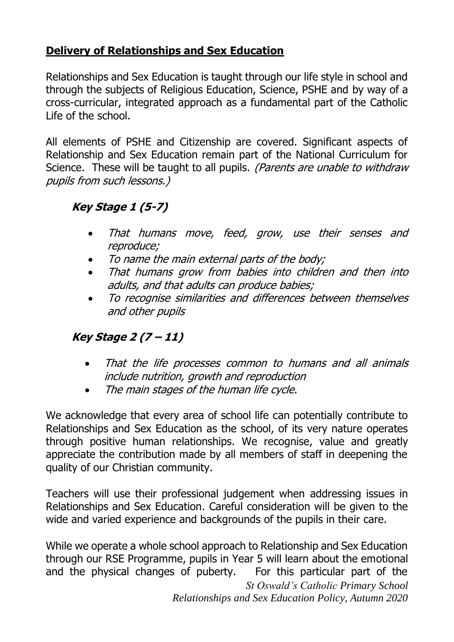## **Delivery of Relationships and Sex Education**

Relationships and Sex Education is taught through our life style in school and through the subjects of Religious Education, Science, PSHE and by way of a cross-curricular, integrated approach as a fundamental part of the Catholic Life of the school.

All elements of PSHE and Citizenship are covered. Significant aspects of Relationship and Sex Education remain part of the National Curriculum for Science. These will be taught to all pupils. (Parents are unable to withdraw pupils from such lessons.)

# **Key Stage 1 (5-7)**

- That humans move, feed, grow, use their senses and reproduce;
- To name the main external parts of the body;
- That humans grow from babies into children and then into adults, and that adults can produce babies;
- To recognise similarities and differences between themselves and other pupils

# **Key Stage 2 (7 – 11)**

- That the life processes common to humans and all animals include nutrition, growth and reproduction
- The main stages of the human life cycle.

We acknowledge that every area of school life can potentially contribute to Relationships and Sex Education as the school, of its very nature operates through positive human relationships. We recognise, value and greatly appreciate the contribution made by all members of staff in deepening the quality of our Christian community.

Teachers will use their professional judgement when addressing issues in Relationships and Sex Education. Careful consideration will be given to the wide and varied experience and backgrounds of the pupils in their care.

*St Oswald's Catholic Primary School Relationships and Sex Education Policy, Autumn 2020* While we operate a whole school approach to Relationship and Sex Education through our RSE Programme, pupils in Year 5 will learn about the emotional and the physical changes of puberty. For this particular part of the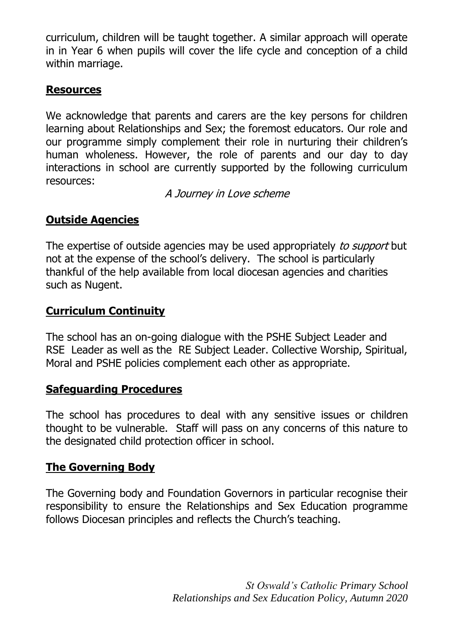curriculum, children will be taught together. A similar approach will operate in in Year 6 when pupils will cover the life cycle and conception of a child within marriage.

#### **Resources**

We acknowledge that parents and carers are the key persons for children learning about Relationships and Sex; the foremost educators. Our role and our programme simply complement their role in nurturing their children's human wholeness. However, the role of parents and our day to day interactions in school are currently supported by the following curriculum resources:

A Journey in Love scheme

### **Outside Agencies**

The expertise of outside agencies may be used appropriately to support but not at the expense of the school's delivery. The school is particularly thankful of the help available from local diocesan agencies and charities such as Nugent.

#### **Curriculum Continuity**

The school has an on-going dialogue with the PSHE Subject Leader and RSE Leader as well as the RE Subject Leader. Collective Worship, Spiritual, Moral and PSHE policies complement each other as appropriate.

#### **Safeguarding Procedures**

The school has procedures to deal with any sensitive issues or children thought to be vulnerable. Staff will pass on any concerns of this nature to the designated child protection officer in school.

### **The Governing Body**

The Governing body and Foundation Governors in particular recognise their responsibility to ensure the Relationships and Sex Education programme follows Diocesan principles and reflects the Church's teaching.

> *St Oswald's Catholic Primary School Relationships and Sex Education Policy, Autumn 2020*